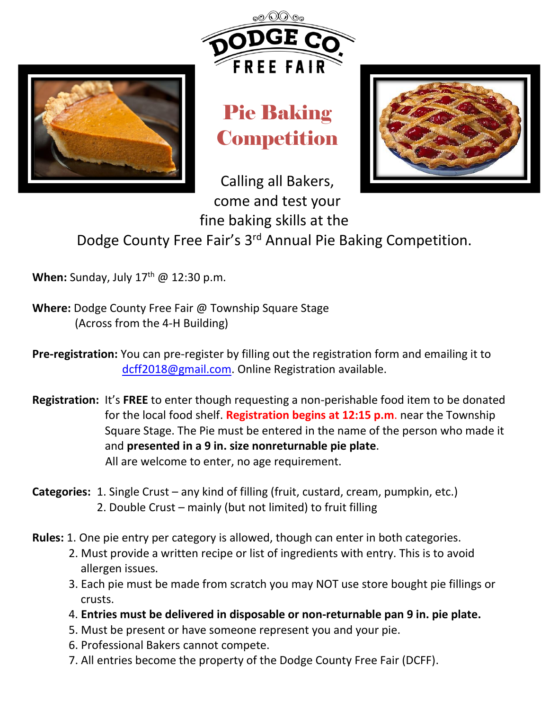

## Pie Baking **Competition**



Calling all Bakers, come and test your

fine baking skills at the Dodge County Free Fair's 3<sup>rd</sup> Annual Pie Baking Competition.

**When:** Sunday, July 17<sup>th</sup> @ 12:30 p.m.

**Where:** Dodge County Free Fair @ Township Square Stage (Across from the 4-H Building)

**Pre-registration:** You can pre-register by filling out the registration form and emailing it to [dcff2018@gmail.com.](mailto:dcff2018@gmail.com) Online Registration available.

- **Registration:** It's **FREE** to enter though requesting a non-perishable food item to be donated for the local food shelf. **Registration begins at 12:15 p.m**. near the Township Square Stage. The Pie must be entered in the name of the person who made it and **presented in a 9 in. size nonreturnable pie plate**. All are welcome to enter, no age requirement.
- **Categories:** 1. Single Crust any kind of filling (fruit, custard, cream, pumpkin, etc.) 2. Double Crust – mainly (but not limited) to fruit filling
- **Rules:** 1. One pie entry per category is allowed, though can enter in both categories.
	- 2. Must provide a written recipe or list of ingredients with entry. This is to avoid allergen issues.
	- 3. Each pie must be made from scratch you may NOT use store bought pie fillings or crusts.
	- 4. **Entries must be delivered in disposable or non-returnable pan 9 in. pie plate.**
	- 5. Must be present or have someone represent you and your pie.
	- 6. Professional Bakers cannot compete.
	- 7. All entries become the property of the Dodge County Free Fair (DCFF).